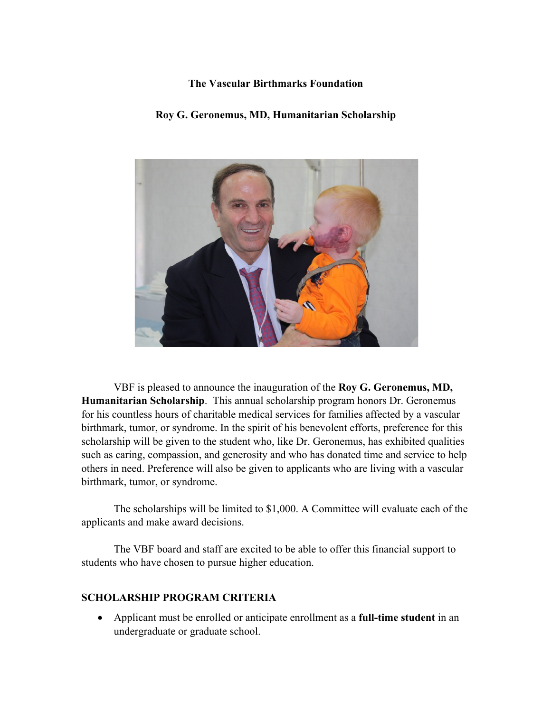## **The Vascular Birthmarks Foundation**

## **Roy G. Geronemus, MD, Humanitarian Scholarship**



VBF is pleased to announce the inauguration of the **Roy G. Geronemus, MD, Humanitarian Scholarship**. This annual scholarship program honors Dr. Geronemus for his countless hours of charitable medical services for families affected by a vascular birthmark, tumor, or syndrome. In the spirit of his benevolent efforts, preference for this scholarship will be given to the student who, like Dr. Geronemus, has exhibited qualities such as caring, compassion, and generosity and who has donated time and service to help others in need. Preference will also be given to applicants who are living with a vascular birthmark, tumor, or syndrome.

The scholarships will be limited to \$1,000. A Committee will evaluate each of the applicants and make award decisions.

The VBF board and staff are excited to be able to offer this financial support to students who have chosen to pursue higher education.

## **SCHOLARSHIP PROGRAM CRITERIA**

• Applicant must be enrolled or anticipate enrollment as a **full-time student** in an undergraduate or graduate school.